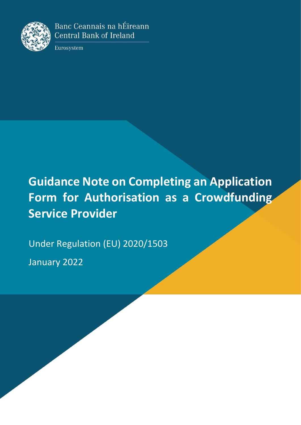

Banc Ceannais na hÉireann **Central Bank of Ireland** 

Eurosystem

# **Guidance Note on Completing an Application Form for Authorisation as a Crowdfunding Service Provider**

Under Regulation (EU) 2020/1503

January 2022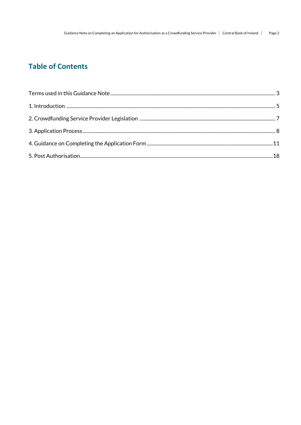# **Table of Contents**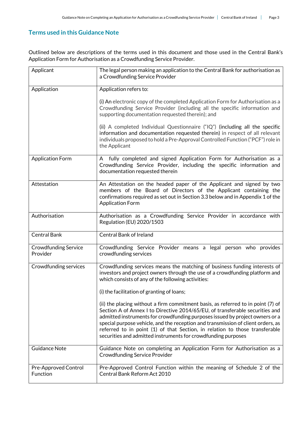# **Terms used in this Guidance Note**

Outlined below are descriptions of the terms used in this document and those used in the Central Bank's Application Form for Authorisation as a Crowdfunding Service Provider.

| Applicant                               | The legal person making an application to the Central Bank for authorisation as<br>a Crowdfunding Service Provider                                                                                                                                                                                                                                                                                                                                                                   |
|-----------------------------------------|--------------------------------------------------------------------------------------------------------------------------------------------------------------------------------------------------------------------------------------------------------------------------------------------------------------------------------------------------------------------------------------------------------------------------------------------------------------------------------------|
| Application                             | Application refers to:                                                                                                                                                                                                                                                                                                                                                                                                                                                               |
|                                         | (i) An electronic copy of the completed Application Form for Authorisation as a<br>Crowdfunding Service Provider (including all the specific information and<br>supporting documentation requested therein); and                                                                                                                                                                                                                                                                     |
|                                         | (ii) A completed Individual Questionnaire ("IQ") (including all the specific<br>information and documentation requested therein) in respect of all relevant<br>individuals proposed to hold a Pre-Approval Controlled Function ("PCF") role in<br>the Applicant                                                                                                                                                                                                                      |
| <b>Application Form</b>                 | A fully completed and signed Application Form for Authorisation as a<br>Crowdfunding Service Provider, including the specific information and<br>documentation requested therein                                                                                                                                                                                                                                                                                                     |
| Attestation                             | An Attestation on the headed paper of the Applicant and signed by two<br>members of the Board of Directors of the Applicant containing the<br>confirmations required as set out in Section 3.3 below and in Appendix 1 of the<br><b>Application Form</b>                                                                                                                                                                                                                             |
| Authorisation                           | Authorisation as a Crowdfunding Service Provider in accordance with<br>Regulation (EU) 2020/1503                                                                                                                                                                                                                                                                                                                                                                                     |
| <b>Central Bank</b>                     | <b>Central Bank of Ireland</b>                                                                                                                                                                                                                                                                                                                                                                                                                                                       |
| <b>Crowdfunding Service</b><br>Provider | Crowdfunding Service Provider means a legal person who provides<br>crowdfunding services                                                                                                                                                                                                                                                                                                                                                                                             |
| Crowdfunding services                   | Crowdfunding services means the matching of business funding interests of<br>investors and project owners through the use of a crowdfunding platform and<br>which consists of any of the following activities:                                                                                                                                                                                                                                                                       |
|                                         | (i) the facilitation of granting of loans;                                                                                                                                                                                                                                                                                                                                                                                                                                           |
|                                         | (ii) the placing without a firm commitment basis, as referred to in point (7) of<br>Section A of Annex I to Directive 2014/65/EU, of transferable securities and<br>admitted instruments for crowdfunding purposes issued by project owners or a<br>special purpose vehicle, and the reception and transmission of client orders, as<br>referred to in point (1) of that Section, in relation to those transferable<br>securities and admitted instruments for crowdfunding purposes |
| <b>Guidance Note</b>                    | Guidance Note on completing an Application Form for Authorisation as a<br><b>Crowdfunding Service Provider</b>                                                                                                                                                                                                                                                                                                                                                                       |
| Pre-Approved Control<br>Function        | Pre-Approved Control Function within the meaning of Schedule 2 of the<br>Central Bank Reform Act 2010                                                                                                                                                                                                                                                                                                                                                                                |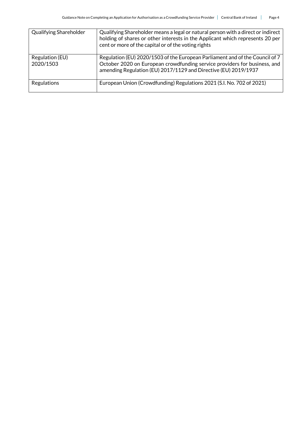| Qualifying Shareholder       | Qualifying Shareholder means a legal or natural person with a direct or indirect<br>holding of shares or other interests in the Applicant which represents 20 per<br>cent or more of the capital or of the voting rights     |
|------------------------------|------------------------------------------------------------------------------------------------------------------------------------------------------------------------------------------------------------------------------|
| Regulation (EU)<br>2020/1503 | Regulation (EU) 2020/1503 of the European Parliament and of the Council of 7<br>October 2020 on European crowdfunding service providers for business, and<br>amending Regulation (EU) 2017/1129 and Directive (EU) 2019/1937 |
| Regulations                  | European Union (Crowdfunding) Regulations 2021 (S.I. No. 702 of 2021)                                                                                                                                                        |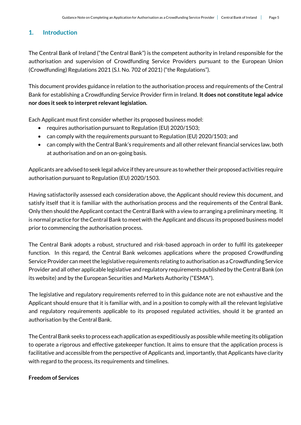# **1. Introduction**

The Central Bank of Ireland ("the Central Bank") is the competent authority in Ireland responsible for the authorisation and supervision of Crowdfunding Service Providers pursuant to the European Union (Crowdfunding) Regulations 2021 (S.I. No. 702 of 2021) ("the Regulations").

This document provides guidance in relation to the authorisation process and requirements of the Central Bank for establishing a Crowdfunding Service Provider firm in Ireland. **It does not constitute legal advice nor does it seek to interpret relevant legislation.**

Each Applicant must first consider whether its proposed business model:

- requires authorisation pursuant to Regulation (EU) 2020/1503;
- can comply with the requirements pursuant to Regulation (EU) 2020/1503; and
- can comply with the Central Bank's requirements and all other relevant financial services law, both at authorisation and on an on-going basis.

Applicants are advised to seek legal advice if they are unsure as to whether their proposed activities require authorisation pursuant to Regulation (EU) 2020/1503.

Having satisfactorily assessed each consideration above, the Applicant should review this document, and satisfy itself that it is familiar with the authorisation process and the requirements of the Central Bank. Only then should the Applicant contact the Central Bank with a view to arranging a preliminary meeting. It is normal practice for the Central Bank to meet with the Applicant and discuss its proposed business model prior to commencing the authorisation process.

The Central Bank adopts a robust, structured and risk-based approach in order to fulfil its gatekeeper function. In this regard, the Central Bank welcomes applications where the proposed Crowdfunding Service Provider can meet the legislative requirements relating to authorisation as a Crowdfunding Service Provider and all other applicable legislative and regulatory requirements published by the Central Bank (on its website) and by the European Securities and Markets Authority ("ESMA").

The legislative and regulatory requirements referred to in this guidance note are not exhaustive and the Applicant should ensure that it is familiar with, and in a position to comply with all the relevant legislative and regulatory requirements applicable to its proposed regulated activities, should it be granted an authorisation by the Central Bank.

The Central Bank seeks to process each application as expeditiously as possible while meeting its obligation to operate a rigorous and effective gatekeeper function. It aims to ensure that the application process is facilitative and accessible from the perspective of Applicants and, importantly, that Applicants have clarity with regard to the process, its requirements and timelines.

#### **Freedom of Services**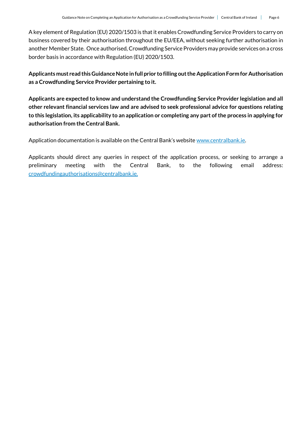A key element of Regulation (EU) 2020/1503 is that it enables Crowdfunding Service Providers to carry on business covered by their authorisation throughout the EU/EEA, without seeking further authorisation in another Member State. Once authorised, Crowdfunding Service Providers may provide services on a cross border basis in accordance with Regulation (EU) 2020/1503.

**Applicants must read this Guidance Note in full prior to filling out the Application Form for Authorisation as a Crowdfunding Service Provider pertaining to it.**

**Applicants are expected to know and understand the Crowdfunding Service Provider legislation and all other relevant financial services law and are advised to seek professional advice for questions relating to this legislation, its applicability to an application or completing any part of the process in applying for authorisation from the Central Bank.**

Application documentation is available on the Central Bank's website [www.centralbank.ie.](http://www.centralbank.ie/)

Applicants should direct any queries in respect of the application process, or seeking to arrange a preliminary meeting with the Central Bank, to the following email address: [crowdfundingauthorisations@centralbank.ie.](mailto:crowdfundingauthorisations@centralbank.ie)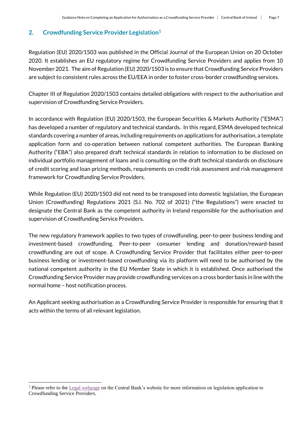# **2. Crowdfunding Service Provider Legislation<sup>1</sup>**

Regulation (EU) 2020/1503 was published in the Official Journal of the European Union on 20 October 2020. It establishes an EU regulatory regime for Crowdfunding Service Providers and applies from 10 November 2021. The aim of Regulation (EU) 2020/1503 is to ensure that Crowdfunding Service Providers are subject to consistent rules across the EU/EEA in order to foster cross-border crowdfunding services.

Chapter III of Regulation 2020/1503 contains detailed obligations with respect to the authorisation and supervision of Crowdfunding Service Providers.

In accordance with Regulation (EU) 2020/1503, the European Securities & Markets Authority ("ESMA") has developed a number of regulatory and technical standards. In this regard, ESMA developed technical standards covering a number of areas, including requirements on applications for authorisation, a template application form and co-operation between national competent authorities. The European Banking Authority ("EBA") also prepared draft technical standards in relation to information to be disclosed on individual portfolio management of loans and is consulting on the draft technical standards on disclosure of credit scoring and loan pricing methods, requirements on credit risk assessment and risk management framework for Crowdfunding Service Providers.

While Regulation (EU) 2020/1503 did not need to be transposed into domestic legislation, the European Union (Crowdfunding) Regulations 2021 (S.I. No. 702 of 2021) ("the Regulations") were enacted to designate the Central Bank as the competent authority in Ireland responsible for the authorisation and supervision of Crowdfunding Service Providers.

The new regulatory framework applies to two types of crowdfunding, peer-to-peer business lending and investment-based crowdfunding. Peer-to-peer consumer lending and donation/reward-based crowdfunding are out of scope. A Crowdfunding Service Provider that facilitates either peer-to-peer business lending or investment-based crowdfunding via its platform will need to be authorised by the national competent authority in the EU Member State in which it is established. Once authorised the Crowdfunding Service Provider may provide crowdfunding services on a cross border basis in line with the normal home – host notification process.

An Applicant seeking authorisation as a Crowdfunding Service Provider is responsible for ensuring that it acts within the terms of all relevant legislation.

1

<sup>&</sup>lt;sup>1</sup> Please refer to the [Legal webpage](https://www.centralbank.ie/regulation/industry-market-sectors/crowdfunding-service-providers/legislation) on the Central Bank's website for more information on legislation application to Crowdfunding Service Providers.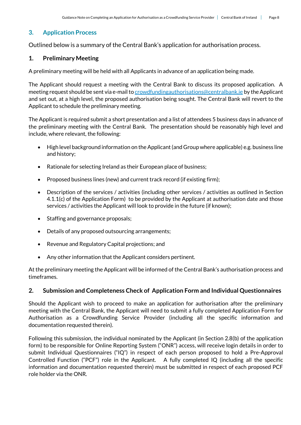# **3. Application Process**

Outlined below is a summary of the Central Bank's application for authorisation process.

### **1. Preliminary Meeting**

A preliminary meeting will be held with all Applicants in advance of an application being made.

The Applicant should request a meeting with the Central Bank to discuss its proposed application. A meeting request should be sent via e-mail t[o crowdfundingauthorisations@centralbank.ie](mailto:crowdfundingauthorisations@centralbank.ie) by the Applicant and set out, at a high level, the proposed authorisation being sought. The Central Bank will revert to the Applicant to schedule the preliminary meeting.

The Applicant is required submit a short presentation and a list of attendees 5 business days in advance of the preliminary meeting with the Central Bank. The presentation should be reasonably high level and include, where relevant, the following:

- $\bullet$  High level background information on the Applicant (and Group where applicable) e.g. business line and history;
- Rationale for selecting Ireland as their European place of business;
- Proposed business lines (new) and current track record (if existing firm);
- Description of the services / activities (including other services / activities as outlined in Section 4.1.1(c) of the Application Form) to be provided by the Applicant at authorisation date and those services / activities the Applicant will look to provide in the future (if known);
- Staffing and governance proposals;
- Details of any proposed outsourcing arrangements;
- Revenue and Regulatory Capital projections; and
- Any other information that the Applicant considers pertinent.

At the preliminary meeting the Applicant will be informed of the Central Bank's authorisation process and timeframes.

#### **2. Submission and Completeness Check of Application Form and Individual Questionnaires**

Should the Applicant wish to proceed to make an application for authorisation after the preliminary meeting with the Central Bank, the Applicant will need to submit a fully completed Application Form for Authorisation as a Crowdfunding Service Provider (including all the specific information and documentation requested therein).

Following this submission, the individual nominated by the Applicant (in Section 2.8(b) of the application form) to be responsible for Online Reporting System ("ONR") access, will receive login details in order to submit Individual Questionnaires ("IQ") in respect of each person proposed to hold a Pre-Approval Controlled Function ("PCF") role in the Applicant. A fully completed IQ (including all the specific information and documentation requested therein) must be submitted in respect of each proposed PCF role holder via the ONR.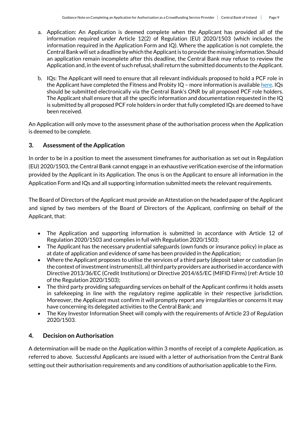- a. Application: An Application is deemed complete when the Applicant has provided all of the information required under Article 12(2) of Regulation (EU) 2020/1503 (which includes the information required in the Application Form and IQ). Where the application is not complete, the Central Bank will set a deadline by which the Applicant is to provide the missing information. Should an application remain incomplete after this deadline, the Central Bank may refuse to review the Application and, in the event of such refusal, shall return the submitted documents to the Applicant.
- b. IQs: The Applicant will need to ensure that all relevant individuals proposed to hold a PCF role in the Applicant have completed the Fitness and Probity  $IQ$  – more information is availabl[e here.](https://www.centralbank.ie/regulation/how-we-regulate/fitness-probity/requirements-assessment-compliance/regulated-financial-service-providers/pcf-assessment) IQs should be submitted electronically via the Central Bank's ONR by all proposed PCF role holders. The Applicant shall ensure that all the specific information and documentation requested in the IQ is submitted by all proposed PCF role holders in order that fully completed IQs are deemed to have been received.

An Application will only move to the assessment phase of the authorisation process when the Application is deemed to be complete.

# **3. Assessment of the Application**

In order to be in a position to meet the assessment timeframes for authorisation as set out in Regulation (EU) 2020/1503, the Central Bank cannot engage in an exhaustive verification exercise of the information provided by the Applicant in its Application. The onus is on the Applicant to ensure all information in the Application Form and IQs and all supporting information submitted meets the relevant requirements.

The Board of Directors ofthe Applicant must provide an Attestation on the headed paper of the Applicant and signed by two members of the Board of Directors of the Applicant, confirming on behalf of the Applicant, that:

- The Application and supporting information is submitted in accordance with Article 12 of Regulation 2020/1503 and complies in full with Regulation 2020/1503;
- The Applicant has the necessary prudential safeguards (own funds or insurance policy) in place as at date of application and evidence of same has been provided in the Application;
- Where the Applicant proposes to utilise the services of a third party (deposit taker or custodian (in the context of investment instruments)), all third party providers are authorised in accordance with Directive 2013/36/EC (Credit Institutions) or Directive 2014/65/EC (MIFID Firms) (ref: Article 10 of the Regulation 2020/1503);
- The third party providing safeguarding services on behalf of the Applicant confirms it holds assets in safekeeping in line with the regulatory regime applicable in their respective jurisdiction. Moreover, the Applicant must confirm it will promptly report any irregularities or concerns it may have concerning its delegated activities to the Central Bank; and
- The Key Investor Information Sheet will comply with the requirements of Article 23 of Regulation 2020/1503.

# **4. Decision on Authorisation**

A determination will be made on the Application within 3 months of receipt of a complete Application, as referred to above. Successful Applicants are issued with a letter of authorisation from the Central Bank setting out their authorisation requirements and any conditions of authorisation applicable to the Firm.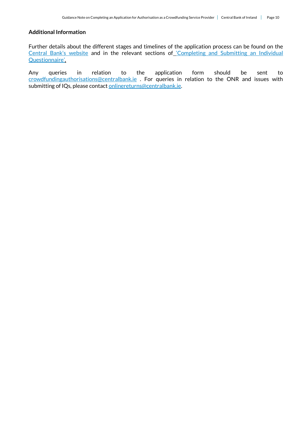#### **Additional Information**

Further details about the different stages and timelines of the application process can be found on the [Central Bank's website](https://www.centralbank.ie/regulation/industry-market-sectors/retail-credit-home-reversion-firms/authorisation-process) and in the relevant sections of '[Completing and Submitting an Individual](https://www.centralbank.ie/regulation/how-we-regulate/fitness-probity/regulated-financial-service-providers-(introduction)/completing-and-submitting-an-individual-questionnaire)  [Questionnaire](https://www.centralbank.ie/regulation/how-we-regulate/fitness-probity/regulated-financial-service-providers-(introduction)/completing-and-submitting-an-individual-questionnaire)'.

Any queries in relation to the application form should be sent to [crowdfundingauthorisations@centralbank.ie](mailto:crowdfundingauthorisations@centralbank.ie) . For queries in relation to the ONR and issues with submitting of IQs, please contact [onlinereturns@centralbank.ie.](mailto:onlinereturns@centralbank.ie)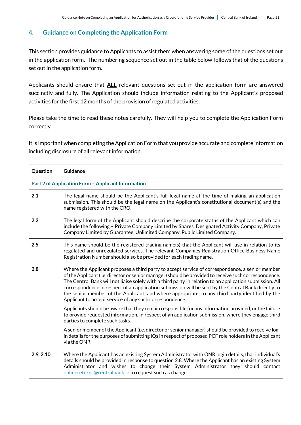# **4. Guidance on Completing the Application Form**

This section provides guidance to Applicants to assist them when answering some of the questions set out in the application form. The numbering sequence set out in the table below follows that of the questions set out in the application form.

Applicants should ensure that **ALL** relevant questions set out in the application form are answered succinctly and fully. The Application should include information relating to the Applicant's proposed activities for the first 12 months of the provision of regulated activities.

Please take the time to read these notes carefully. They will help you to complete the Application Form correctly.

It is important when completing the Application Form that you provide accurate and complete information including disclosure of all relevant information.

| Question  | <b>Guidance</b>                                                                                                                                                                                                                                                                                                                                                                                                                                                                                                                                                                           |  |
|-----------|-------------------------------------------------------------------------------------------------------------------------------------------------------------------------------------------------------------------------------------------------------------------------------------------------------------------------------------------------------------------------------------------------------------------------------------------------------------------------------------------------------------------------------------------------------------------------------------------|--|
|           | <b>Part 2 of Application Form - Applicant Information</b>                                                                                                                                                                                                                                                                                                                                                                                                                                                                                                                                 |  |
| 2.1       | The legal name should be the Applicant's full legal name at the time of making an application<br>submission. This should be the legal name on the Applicant's constitutional document(s) and the<br>name registered with the CRO.                                                                                                                                                                                                                                                                                                                                                         |  |
| 2.2       | The legal form of the Applicant should describe the corporate status of the Applicant which can<br>include the following - Private Company Limited by Shares, Designated Activity Company, Private<br>Company Limited by Guarantee, Unlimited Company, Public Limited Company.                                                                                                                                                                                                                                                                                                            |  |
| 2.5       | This name should be the registered trading name(s) that the Applicant will use in relation to its<br>regulated and unregulated services. The relevant Companies Registration Office Business Name<br>Registration Number should also be provided for each trading name.                                                                                                                                                                                                                                                                                                                   |  |
| 2.8       | Where the Applicant proposes a third party to accept service of correspondence, a senior member<br>of the Applicant (i.e. director or senior manager) should be provided to receive such correspondence.<br>The Central Bank will not liaise solely with a third party in relation to an application submission. All<br>correspondence in respect of an application submission will be sent by the Central Bank directly to<br>the senior member of the Applicant, and where appropriate, to any third party identified by the<br>Applicant to accept service of any such correspondence. |  |
|           | Applicants should be aware that they remain responsible for any information provided, or the failure<br>to provide requested information, in respect of an application submission, where they engage third<br>parties to complete such tasks.                                                                                                                                                                                                                                                                                                                                             |  |
|           | A senior member of the Applicant (i.e. director or senior manager) should be provided to receive log-<br>in details for the purposes of submitting IQs in respect of proposed PCF role holders in the Applicant<br>via the ONR.                                                                                                                                                                                                                                                                                                                                                           |  |
| 2.9, 2.10 | Where the Applicant has an existing System Administrator with ONR login details, that individual's<br>details should be provided in response to question 2.8. Where the Applicant has an existing System<br>Administrator and wishes to change their System Administrator they should contact<br>onlinereturns@centralbank.ie to request such as change.                                                                                                                                                                                                                                  |  |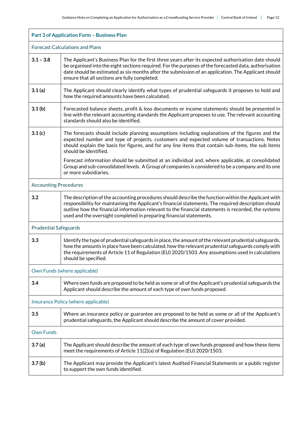| <b>Part 3 of Application Form - Business Plan</b> |                                                                                                                                                                                                                                                                                                                                                                                           |  |
|---------------------------------------------------|-------------------------------------------------------------------------------------------------------------------------------------------------------------------------------------------------------------------------------------------------------------------------------------------------------------------------------------------------------------------------------------------|--|
|                                                   | <b>Forecast Calculations and Plans</b>                                                                                                                                                                                                                                                                                                                                                    |  |
| $3.1 - 3.8$                                       | The Applicant's Business Plan for the first three years after its expected authorisation date should<br>be organised into the eight sections required. For the purposes of the forecasted data, authorisation<br>date should be estimated as six months after the submission of an application. The Applicant should<br>ensure that all sections are fully completed.                     |  |
| 3.1(a)                                            | The Applicant should clearly identify what types of prudential safeguards it proposes to hold and<br>how the required amounts have been calculated.                                                                                                                                                                                                                                       |  |
| 3.1 <sub>(b)</sub>                                | Forecasted balance sheets, profit & loss documents or income statements should be presented in<br>line with the relevant accounting standards the Applicant proposes to use. The relevant accounting<br>standards should also be identified.                                                                                                                                              |  |
| 3.1(c)                                            | The forecasts should include planning assumptions including explanations of the figures and the<br>expected number and type of projects, customers and expected volume of transactions. Notes<br>should explain the basis for figures, and for any line items that contain sub-items, the sub items<br>should be identified.                                                              |  |
|                                                   | Forecast information should be submitted at an individual and, where applicable, at consolidated<br>Group and sub-consolidated levels. A Group of companies is considered to be a company and its one<br>or more subsidiaries.                                                                                                                                                            |  |
| <b>Accounting Procedures</b>                      |                                                                                                                                                                                                                                                                                                                                                                                           |  |
| 3.2                                               | The description of the accounting procedures should describe the function within the Applicant with<br>responsibility for maintaining the Applicant's financial statements. The required description should<br>outline how the financial information relevant to the financial statements is recorded, the systems<br>used and the oversight completed in preparing financial statements. |  |
| <b>Prudential Safeguards</b>                      |                                                                                                                                                                                                                                                                                                                                                                                           |  |
| 3.3                                               | Identify the type of prudential safeguards in place, the amount of the relevant prudential safeguards,<br>how the amounts in place have been calculated, how the relevant prudential safeguards comply with<br>the requirements of Article 11 of Regulation (EU) 2020/1503. Any assumptions used in calculations<br>should be specified.                                                  |  |
| Own Funds (where applicable)                      |                                                                                                                                                                                                                                                                                                                                                                                           |  |
| 3.4                                               | Where own funds are proposed to be held as some or all of the Applicant's prudential safeguards the<br>Applicant should describe the amount of each type of own funds proposed.                                                                                                                                                                                                           |  |
| Insurance Policy (where applicable)               |                                                                                                                                                                                                                                                                                                                                                                                           |  |
| 3.5                                               | Where an insurance policy or guarantee are proposed to be held as some or all of the Applicant's<br>prudential safeguards, the Applicant should describe the amount of cover provided.                                                                                                                                                                                                    |  |
| <b>Own Funds</b>                                  |                                                                                                                                                                                                                                                                                                                                                                                           |  |
| 3.7(a)                                            | The Applicant should describe the amount of each type of own funds proposed and how these items<br>meet the requirements of Article 11(2)(a) of Regulation (EU) 2020/1503.                                                                                                                                                                                                                |  |
| 3.7 <sub>(b)</sub>                                | The Applicant may provide the Applicant's latest Audited Financial Statements or a public register<br>to support the own funds identified.                                                                                                                                                                                                                                                |  |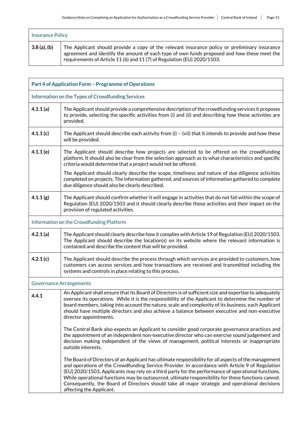| <b>Insurance Policy</b> |                                                                                                                                                                                                                                                                         |
|-------------------------|-------------------------------------------------------------------------------------------------------------------------------------------------------------------------------------------------------------------------------------------------------------------------|
| $3.8$ (a), (b)          | The Applicant should provide a copy of the relevant insurance policy or preliminary insurance<br>agreement and identify the amount of each type of own funds proposed and how these meet the<br>requirements of Article 11 (6) and 11 (7) of Regulation (EU) 2020/1503. |

| Part 4 of Application Form - Programme of Operations |                                                                                                                                                                                                                                                                                                                                                                                                                                                                                                                                                   |  |  |
|------------------------------------------------------|---------------------------------------------------------------------------------------------------------------------------------------------------------------------------------------------------------------------------------------------------------------------------------------------------------------------------------------------------------------------------------------------------------------------------------------------------------------------------------------------------------------------------------------------------|--|--|
| Information on the Types of Crowdfunding Services    |                                                                                                                                                                                                                                                                                                                                                                                                                                                                                                                                                   |  |  |
| 4.1.1(a)                                             | The Applicant should provide a comprehensive description of the crowdfunding services it proposes<br>to provide, selecting the specific activities from (i) and (ii) and describing how these activities are<br>provided.                                                                                                                                                                                                                                                                                                                         |  |  |
| 4.1.1(c)                                             | The Applicant should describe each activity from $(i)$ – (vii) that it intends to provide and how these<br>will be provided.                                                                                                                                                                                                                                                                                                                                                                                                                      |  |  |
| 4.1.1(e)                                             | The Applicant should describe how projects are selected to be offered on the crowdfunding<br>platform. It should also be clear from the selection approach as to what characteristics and specific<br>criteria would determine that a project would not be offered.                                                                                                                                                                                                                                                                               |  |  |
|                                                      | The Applicant should clearly describe the scope, timeliness and nature of due diligence activities<br>completed on projects. The information gathered, and sources of information gathered to complete<br>due diligence should also be clearly described.                                                                                                                                                                                                                                                                                         |  |  |
| 4.1.1(g)                                             | The Applicant should confirm whether it will engage in activities that do not fall within the scope of<br>Regulation (EU) 2020/1503 and it should clearly describe those activities and their impact on the<br>provision of regulated activities.                                                                                                                                                                                                                                                                                                 |  |  |
|                                                      | Information on the Crowdfunding Platform                                                                                                                                                                                                                                                                                                                                                                                                                                                                                                          |  |  |
| 4.2.1(a)                                             | The Applicant should clearly describe how it complies with Article 19 of Regulation (EU) 2020/1503.<br>The Applicant should describe the location(s) on its website where the relevant information is<br>contained and describe the content that will be provided.                                                                                                                                                                                                                                                                                |  |  |
| 4.2.1(c)                                             | The Applicant should describe the process through which services are provided to customers, how<br>customers can access services and how transactions are received and transmitted including the<br>systems and controls in place relating to this process.                                                                                                                                                                                                                                                                                       |  |  |
|                                                      | <b>Governance Arrangements</b>                                                                                                                                                                                                                                                                                                                                                                                                                                                                                                                    |  |  |
| 4.4.1                                                | An Applicant shall ensure that its Board of Directors is of sufficient size and expertise to adequately<br>oversee its operations. While it is the responsibility of the Applicant to determine the number of<br>board members, taking into account the nature, scale and complexity of its business, each Applicant<br>should have multiple directors and also achieve a balance between executive and non-executive<br>director appointments.                                                                                                   |  |  |
|                                                      | The Central Bank also expects an Applicant to consider good corporate governance practices and<br>the appointment of an independent non-executive director who can exercise sound judgement and<br>decision making independent of the views of management, political interests or inappropriate<br>outside interests.                                                                                                                                                                                                                             |  |  |
|                                                      | The Board of Directors of an Applicant has ultimate responsibility for all aspects of the management<br>and operations of the Crowdfunding Service Provider. In accordance with Article 9 of Regulation<br>(EU) 2020/1503, Applicants may rely on a third party for the performance of operational functions.<br>While operational functions may be outsourced, ultimate responsibility for these functions cannot.<br>Consequently, the Board of Directors should take all major strategic and operational decisions<br>affecting the Applicant. |  |  |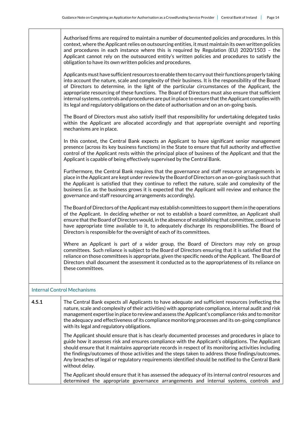|       | Authorised firms are required to maintain a number of documented policies and procedures. In this<br>context, where the Applicant relies on outsourcing entities, it must maintain its own written policies<br>and procedures in each instance where this is required by Regulation (EU) 2020/1503 - the<br>Applicant cannot rely on the outsourced entity's written policies and procedures to satisfy the<br>obligation to have its own written policies and procedures.                                                                                                                                                     |
|-------|--------------------------------------------------------------------------------------------------------------------------------------------------------------------------------------------------------------------------------------------------------------------------------------------------------------------------------------------------------------------------------------------------------------------------------------------------------------------------------------------------------------------------------------------------------------------------------------------------------------------------------|
|       | Applicants must have sufficient resources to enable them to carry out their functions properly taking<br>into account the nature, scale and complexity of their business. It is the responsibility of the Board<br>of Directors to determine, in the light of the particular circumstances of the Applicant, the<br>appropriate resourcing of these functions. The Board of Directors must also ensure that sufficient<br>internal systems, controls and procedures are put in place to ensure that the Applicant complies with<br>its legal and regulatory obligations on the date of authorisation and on an on-going basis. |
|       | The Board of Directors must also satisfy itself that responsibility for undertaking delegated tasks<br>within the Applicant are allocated accordingly and that appropriate oversight and reporting<br>mechanisms are in place.                                                                                                                                                                                                                                                                                                                                                                                                 |
|       | In this context, the Central Bank expects an Applicant to have significant senior management<br>presence (across its key business functions) in the State to ensure that full authority and effective<br>control of the Applicant rests within the principal place of business of the Applicant and that the<br>Applicant is capable of being effectively supervised by the Central Bank.                                                                                                                                                                                                                                      |
|       | Furthermore, the Central Bank requires that the governance and staff resource arrangements in<br>place in the Applicant are kept under review by the Board of Directors on an on-going basis such that<br>the Applicant is satisfied that they continue to reflect the nature, scale and complexity of the<br>business (i.e. as the business grows it is expected that the Applicant will review and enhance the<br>governance and staff resourcing arrangements accordingly).                                                                                                                                                 |
|       | The Board of Directors of the Applicant may establish committees to support them in the operations<br>of the Applicant. In deciding whether or not to establish a board committee, an Applicant shall<br>ensure that the Board of Directors would, in the absence of establishing that committee, continue to<br>have appropriate time available to it, to adequately discharge its responsibilities. The Board of<br>Directors is responsible for the oversight of each of its committees.                                                                                                                                    |
|       | Where an Applicant is part of a wider group, the Board of Directors may rely on group<br>committees. Such reliance is subject to the Board of Directors ensuring that it is satisfied that the<br>reliance on those committees is appropriate, given the specific needs of the Applicant. The Board of<br>Directors shall document the assessment it conducted as to the appropriateness of its reliance on<br>these committees.                                                                                                                                                                                               |
|       | <b>Internal Control Mechanisms</b>                                                                                                                                                                                                                                                                                                                                                                                                                                                                                                                                                                                             |
| 4.5.1 | The Central Bank expects all Applicants to have adequate and sufficient resources (reflecting the<br>nature, scale and complexity of their activities) with appropriate compliance, internal audit and risk<br>management expertise in place to review and assess the Applicant's compliance risks and to monitor<br>the adequacy and effectiveness of its compliance monitoring processes and its on-going compliance<br>with its legal and regulatory obligations.                                                                                                                                                           |
|       | The Applicant should ensure that is has clearly documented processes and procedures in place to<br>guide how it assesses risk and ensures compliance with the Applicant's obligations. The Applicant<br>should ensure that it maintains appropriate records in respect of its monitoring activities including<br>the findings/outcomes of those activities and the steps taken to address those findings/outcomes.<br>Any breaches of legal or regulatory requirements identified should be notified to the Central Bank<br>without delay.                                                                                     |
|       | The Applicant should ensure that it has assessed the adequacy of its internal control resources and                                                                                                                                                                                                                                                                                                                                                                                                                                                                                                                            |

determined the appropriate governance arrangements and internal systems, controls and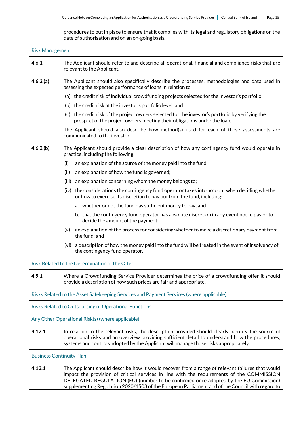|                                                                                         | procedures to put in place to ensure that it complies with its legal and regulatory obligations on the<br>date of authorisation and on an on-going basis.                                                                                                                                                                                                                               |  |  |
|-----------------------------------------------------------------------------------------|-----------------------------------------------------------------------------------------------------------------------------------------------------------------------------------------------------------------------------------------------------------------------------------------------------------------------------------------------------------------------------------------|--|--|
|                                                                                         | <b>Risk Management</b>                                                                                                                                                                                                                                                                                                                                                                  |  |  |
| 4.6.1                                                                                   | The Applicant should refer to and describe all operational, financial and compliance risks that are<br>relevant to the Applicant.                                                                                                                                                                                                                                                       |  |  |
| 4.6.2(a)                                                                                | The Applicant should also specifically describe the processes, methodologies and data used in<br>assessing the expected performance of loans in relation to:                                                                                                                                                                                                                            |  |  |
|                                                                                         | (a) the credit risk of individual crowdfunding projects selected for the investor's portfolio;                                                                                                                                                                                                                                                                                          |  |  |
|                                                                                         | (b) the credit risk at the investor's portfolio level; and                                                                                                                                                                                                                                                                                                                              |  |  |
|                                                                                         | (c) the credit risk of the project owners selected for the investor's portfolio by verifying the<br>prospect of the project owners meeting their obligations under the loan.                                                                                                                                                                                                            |  |  |
|                                                                                         | The Applicant should also describe how method(s) used for each of these assessments are<br>communicated to the investor.                                                                                                                                                                                                                                                                |  |  |
| 4.6.2(b)                                                                                | The Applicant should provide a clear description of how any contingency fund would operate in<br>practice, including the following:                                                                                                                                                                                                                                                     |  |  |
|                                                                                         | an explanation of the source of the money paid into the fund;<br>(i)                                                                                                                                                                                                                                                                                                                    |  |  |
|                                                                                         | an explanation of how the fund is governed;<br>(ii)                                                                                                                                                                                                                                                                                                                                     |  |  |
|                                                                                         | an explanation concerning whom the money belongs to;<br>(iii)                                                                                                                                                                                                                                                                                                                           |  |  |
|                                                                                         | (iv) the considerations the contingency fund operator takes into account when deciding whether<br>or how to exercise its discretion to pay out from the fund, including:                                                                                                                                                                                                                |  |  |
|                                                                                         | a. whether or not the fund has sufficient money to pay; and                                                                                                                                                                                                                                                                                                                             |  |  |
|                                                                                         | b. that the contingency fund operator has absolute discretion in any event not to pay or to<br>decide the amount of the payment;                                                                                                                                                                                                                                                        |  |  |
|                                                                                         | an explanation of the process for considering whether to make a discretionary payment from<br>(v)<br>the fund; and                                                                                                                                                                                                                                                                      |  |  |
|                                                                                         | (vi) a description of how the money paid into the fund will be treated in the event of insolvency of<br>the contingency fund operator.                                                                                                                                                                                                                                                  |  |  |
| Risk Related to the Determination of the Offer                                          |                                                                                                                                                                                                                                                                                                                                                                                         |  |  |
| 4.9.1                                                                                   | Where a Crowdfunding Service Provider determines the price of a crowdfunding offer it should<br>provide a description of how such prices are fair and appropriate.                                                                                                                                                                                                                      |  |  |
| Risks Related to the Asset Safekeeping Services and Payment Services (where applicable) |                                                                                                                                                                                                                                                                                                                                                                                         |  |  |
|                                                                                         | Risks Related to Outsourcing of Operational Functions                                                                                                                                                                                                                                                                                                                                   |  |  |
| Any Other Operational Risk(s) (where applicable)                                        |                                                                                                                                                                                                                                                                                                                                                                                         |  |  |
| 4.12.1                                                                                  | In relation to the relevant risks, the description provided should clearly identify the source of<br>operational risks and an overview providing sufficient detail to understand how the procedures,<br>systems and controls adopted by the Applicant will manage those risks appropriately.                                                                                            |  |  |
| <b>Business Continuity Plan</b>                                                         |                                                                                                                                                                                                                                                                                                                                                                                         |  |  |
| 4.13.1                                                                                  | The Applicant should describe how it would recover from a range of relevant failures that would<br>impact the provision of critical services in line with the requirements of the COMMISSION<br>DELEGATED REGULATION (EU) (number to be confirmed once adopted by the EU Commission)<br>supplementing Regulation 2020/1503 of the European Parliament and of the Council with regard to |  |  |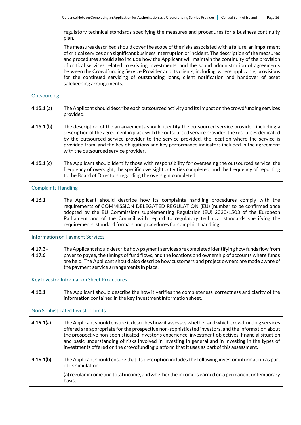|                            | regulatory technical standards specifying the measures and procedures for a business continuity<br>plan.                                                                                                                                                                                                                                                                                                                                                                                                                                                                                                                                                    |  |  |
|----------------------------|-------------------------------------------------------------------------------------------------------------------------------------------------------------------------------------------------------------------------------------------------------------------------------------------------------------------------------------------------------------------------------------------------------------------------------------------------------------------------------------------------------------------------------------------------------------------------------------------------------------------------------------------------------------|--|--|
|                            | The measures described should cover the scope of the risks associated with a failure, an impairment<br>of critical services or a significant business interruption or incident. The description of the measures<br>and procedures should also include how the Applicant will maintain the continuity of the provision<br>of critical services related to existing investments, and the sound administration of agreements<br>between the Crowdfunding Service Provider and its clients, including, where applicable, provisions<br>for the continued servicing of outstanding loans, client notification and handover of asset<br>safekeeping arrangements. |  |  |
| Outsourcing                |                                                                                                                                                                                                                                                                                                                                                                                                                                                                                                                                                                                                                                                             |  |  |
| 4.15.1(a)                  | The Applicant should describe each outsourced activity and its impact on the crowdfunding services<br>provided.                                                                                                                                                                                                                                                                                                                                                                                                                                                                                                                                             |  |  |
| 4.15.1(b)                  | The description of the arrangements should identify the outsourced service provider, including a<br>description of the agreement in place with the outsourced service provider, the resources dedicated<br>by the outsourced service provider to the service provided, the location where the service is<br>provided from, and the key obligations and key performance indicators included in the agreement<br>with the outsourced service provider.                                                                                                                                                                                                        |  |  |
| 4.15.1(c)                  | The Applicant should identify those with responsibility for overseeing the outsourced service, the<br>frequency of oversight, the specific oversight activities completed, and the frequency of reporting<br>to the Board of Directors regarding the oversight completed.                                                                                                                                                                                                                                                                                                                                                                                   |  |  |
| <b>Complaints Handling</b> |                                                                                                                                                                                                                                                                                                                                                                                                                                                                                                                                                                                                                                                             |  |  |
| 4.16.1                     | The Applicant should describe how its complaints handling procedures comply with the<br>requirements of COMMISSION DELEGATED REGULATION (EU) (number to be confirmed once<br>adopted by the EU Commission) supplementing Regulation (EU) 2020/1503 of the European<br>Parliament and of the Council with regard to regulatory technical standards specifying the<br>requirements, standard formats and procedures for complaint handling.                                                                                                                                                                                                                   |  |  |
|                            | Information on Payment Services                                                                                                                                                                                                                                                                                                                                                                                                                                                                                                                                                                                                                             |  |  |
| $4.17.3 -$<br>4.17.6       | The Applicant should describe how payment services are completed identifying how funds flow from<br>payer to payee, the timings of fund flows, and the locations and ownership of accounts where funds<br>are held. The Applicant should also describe how customers and project owners are made aware of<br>the payment service arrangements in place.                                                                                                                                                                                                                                                                                                     |  |  |
|                            | Key Investor Information Sheet Procedures                                                                                                                                                                                                                                                                                                                                                                                                                                                                                                                                                                                                                   |  |  |
| 4.18.1                     | The Applicant should describe the how it verifies the completeness, correctness and clarity of the<br>information contained in the key investment information sheet.                                                                                                                                                                                                                                                                                                                                                                                                                                                                                        |  |  |
|                            | Non Sophisticated Investor Limits                                                                                                                                                                                                                                                                                                                                                                                                                                                                                                                                                                                                                           |  |  |
| 4.19.1(a)                  | The Applicant should ensure it describes how it assesses whether and which crowdfunding services<br>offered are appropriate for the prospective non-sophisticated investors, and the information about<br>the prospective non-sophisticated investor's experience, investment objectives, financial situation<br>and basic understanding of risks involved in investing in general and in investing in the types of<br>investments offered on the crowdfunding platform that it uses as part of this assessment.                                                                                                                                            |  |  |
| 4.19.1(b)                  | The Applicant should ensure that its description includes the following investor information as part<br>of its simulation:<br>(a) regular income and total income, and whether the income is earned on a permanent or temporary<br>basis;                                                                                                                                                                                                                                                                                                                                                                                                                   |  |  |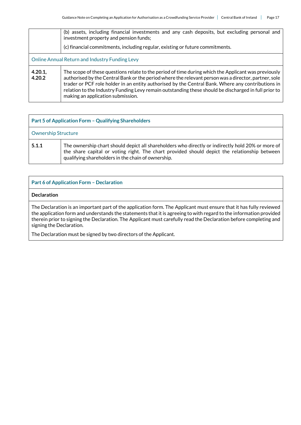|                                                | (b) assets, including financial investments and any cash deposits, but excluding personal and<br>investment property and pension funds;                                                                                                                                                                                                                                                                                                                       |  |
|------------------------------------------------|---------------------------------------------------------------------------------------------------------------------------------------------------------------------------------------------------------------------------------------------------------------------------------------------------------------------------------------------------------------------------------------------------------------------------------------------------------------|--|
|                                                | (c) financial commitments, including regular, existing or future commitments.                                                                                                                                                                                                                                                                                                                                                                                 |  |
| Online Annual Return and Industry Funding Levy |                                                                                                                                                                                                                                                                                                                                                                                                                                                               |  |
| 4.20.1,<br>4.20.2                              | The scope of these questions relate to the period of time during which the Applicant was previously<br>authorised by the Central Bank or the period where the relevant person was a director, partner, sole<br>trader or PCF role holder in an entity authorised by the Central Bank. Where any contributions in<br>relation to the Industry Funding Levy remain outstanding these should be discharged in full prior to<br>making an application submission. |  |

| <b>Part 5 of Application Form - Qualifying Shareholders</b> |                                                                                                                                                                                                                                                         |
|-------------------------------------------------------------|---------------------------------------------------------------------------------------------------------------------------------------------------------------------------------------------------------------------------------------------------------|
| <b>Ownership Structure</b>                                  |                                                                                                                                                                                                                                                         |
| 5.1.1                                                       | The ownership chart should depict all shareholders who directly or indirectly hold 20% or more of<br>the share capital or voting right. The chart provided should depict the relationship between<br>qualifying shareholders in the chain of ownership. |

| <b>Part 6 of Application Form - Declaration</b>                                                                                                                                                                                                                                                                                                                                           |
|-------------------------------------------------------------------------------------------------------------------------------------------------------------------------------------------------------------------------------------------------------------------------------------------------------------------------------------------------------------------------------------------|
| <b>Declaration</b>                                                                                                                                                                                                                                                                                                                                                                        |
| The Declaration is an important part of the application form. The Applicant must ensure that it has fully reviewed<br>the application form and understands the statements that it is agreeing to with regard to the information provided<br>therein prior to signing the Declaration. The Applicant must carefully read the Declaration before completing and<br>signing the Declaration. |

The Declaration must be signed by two directors of the Applicant.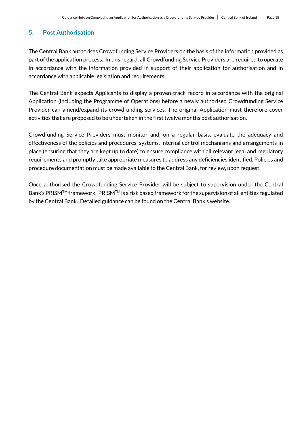# **5. Post Authorisation**

The Central Bank authorises Crowdfunding Service Providers on the basis of the information provided as part of the application process. In this regard, all Crowdfunding Service Providers are required to operate in accordance with the information provided in support of their application for authorisation and in accordance with applicable legislation and requirements.

The Central Bank expects Applicants to display a proven track record in accordance with the original Application (including the Programme of Operations) before a newly authorised Crowdfunding Service Provider can amend/expand its crowdfunding services. The original Application must therefore cover activities that are proposed to be undertaken in the first twelve months post authorisation.

Crowdfunding Service Providers must monitor and, on a regular basis, evaluate the adequacy and effectiveness of the policies and procedures, systems, internal control mechanisms and arrangements in place (ensuring that they are kept up to date) to ensure compliance with all relevant legal and regulatory requirements and promptly take appropriate measures to address any deficiencies identified. Policies and procedure documentation must be made available to the Central Bank, for review, upon request.

Once authorised the Crowdfunding Service Provider will be subject to supervision under the Central Bank's PRISMTM framework. PRISMTM is a risk based framework for the supervision of all entities regulated by the Central Bank. Detailed guidance can be found on the Central Bank's website.